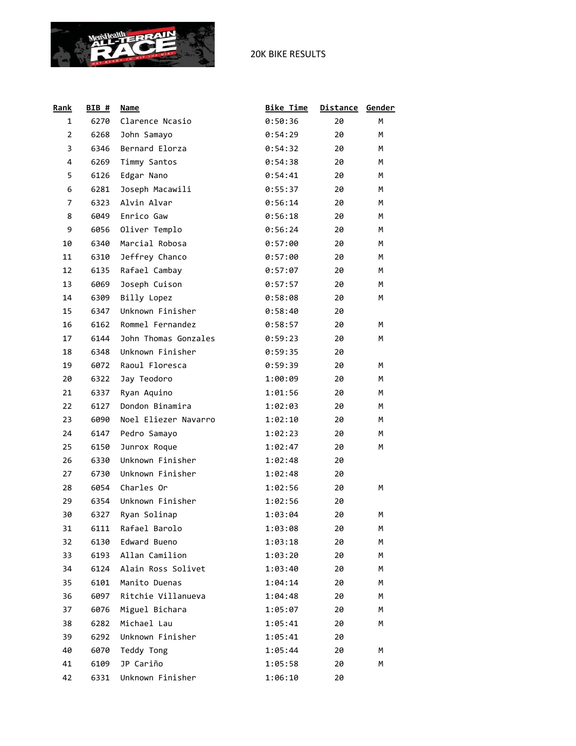

| Rank           | <b>BIB</b> # | <b>Name</b>          | <b>Bike Time</b> | <b>Distance</b> | Gender |
|----------------|--------------|----------------------|------------------|-----------------|--------|
| 1              | 6270         | Clarence Ncasio      | 0:50:36          | 20              | M      |
| $\overline{2}$ | 6268         | John Samayo          | 0:54:29          | 20              | М      |
| 3              | 6346         | Bernard Elorza       | 0:54:32          | 20              | M      |
| 4              | 6269         | Timmy Santos         | 0:54:38          | 20              | М      |
| 5              | 6126         | Edgar Nano           | 0:54:41          | 20              | M      |
| 6              | 6281         | Joseph Macawili      | 0:55:37          | 20              | М      |
| 7              | 6323         | Alvin Alvar          | 0:56:14          | 20              | М      |
| 8              | 6049         | Enrico Gaw           | 0:56:18          | 20              | M      |
| 9              | 6056         | Oliver Templo        | 0:56:24          | 20              | M      |
| 10             | 6340         | Marcial Robosa       | 0:57:00          | 20              | М      |
| 11             | 6310         | Jeffrey Chanco       | 0:57:00          | 20              | М      |
| 12             | 6135         | Rafael Cambay        | 0:57:07          | 20              | М      |
| 13             | 6069         | Joseph Cuison        | 0:57:57          | 20              | M      |
| 14             | 6309         | Billy Lopez          | 0:58:08          | 20              | M      |
| 15             | 6347         | Unknown Finisher     | 0:58:40          | 20              |        |
| 16             | 6162         | Rommel Fernandez     | 0:58:57          | 20              | М      |
| 17             | 6144         | John Thomas Gonzales | 0:59:23          | 20              | M      |
| 18             | 6348         | Unknown Finisher     | 0:59:35          | 20              |        |
| 19             | 6072         | Raoul Floresca       | 0:59:39          | 20              | м      |
| 20             | 6322         | Jay Teodoro          | 1:00:09          | 20              | М      |
| 21             | 6337         | Ryan Aquino          | 1:01:56          | 20              | М      |
| 22             | 6127         | Dondon Binamira      | 1:02:03          | 20              | М      |
| 23             | 6090         | Noel Eliezer Navarro | 1:02:10          | 20              | М      |
| 24             | 6147         | Pedro Samayo         | 1:02:23          | 20              | M      |
| 25             | 6150         | Junrox Roque         | 1:02:47          | 20              | М      |
| 26             | 6330         | Unknown Finisher     | 1:02:48          | 20              |        |
| 27             | 6730         | Unknown Finisher     | 1:02:48          | 20              |        |
| 28             | 6054         | Charles Or           | 1:02:56          | 20              | м      |
| 29             | 6354         | Unknown Finisher     | 1:02:56          | 20              |        |
| 30             | 6327         | Ryan Solinap         | 1:03:04          | 20              | М      |
| 31             | 6111         | Rafael Barolo        | 1:03:08          | 20              | М      |
| 32             | 6130         | Edward Bueno         | 1:03:18          | 20              | М      |
| 33             | 6193         | Allan Camilion       | 1:03:20          | 20              | м      |
| 34             | 6124         | Alain Ross Solivet   | 1:03:40          | 20              | м      |
| 35             | 6101         | Manito Duenas        | 1:04:14          | 20              | м      |
| 36             | 6097         | Ritchie Villanueva   | 1:04:48          | 20              | м      |
| 37             | 6076         | Miguel Bichara       | 1:05:07          | 20              | М      |
| 38             | 6282         | Michael Lau          | 1:05:41          | 20              | м      |
| 39             | 6292         | Unknown Finisher     | 1:05:41          | 20              |        |
| 40             | 6070         | Teddy Tong           | 1:05:44          | 20              | м      |
| 41             | 6109         | JP Cariño            | 1:05:58          | 20              | М      |
| 42             | 6331         | Unknown Finisher     | 1:06:10          | 20              |        |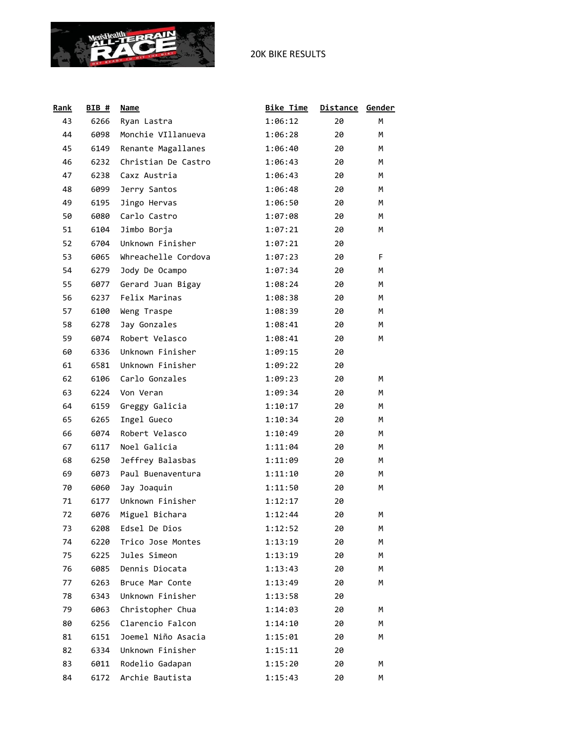

| Rank | BIB# | <b>Name</b>         | <b>Bike Time</b> | <b>Distance</b> | Gender |
|------|------|---------------------|------------------|-----------------|--------|
| 43   | 6266 | Ryan Lastra         | 1:06:12          | 20              | М      |
| 44   | 6098 | Monchie VIllanueva  | 1:06:28          | 20              | М      |
| 45   | 6149 | Renante Magallanes  | 1:06:40          | 20              | М      |
| 46   | 6232 | Christian De Castro | 1:06:43          | 20              | M      |
| 47   | 6238 | Caxz Austria        | 1:06:43          | 20              | М      |
| 48   | 6099 | Jerry Santos        | 1:06:48          | 20              | M      |
| 49   | 6195 | Jingo Hervas        | 1:06:50          | 20              | M      |
| 50   | 6080 | Carlo Castro        | 1:07:08          | 20              | М      |
| 51   | 6104 | Jimbo Borja         | 1:07:21          | 20              | М      |
| 52   | 6704 | Unknown Finisher    | 1:07:21          | 20              |        |
| 53   | 6065 | Whreachelle Cordova | 1:07:23          | 20              | F      |
| 54   | 6279 | Jody De Ocampo      | 1:07:34          | 20              | M      |
| 55   | 6077 | Gerard Juan Bigay   | 1:08:24          | 20              | M      |
| 56   | 6237 | Felix Marinas       | 1:08:38          | 20              | М      |
| 57   | 6100 | Weng Traspe         | 1:08:39          | 20              | М      |
| 58   | 6278 | Jay Gonzales        | 1:08:41          | 20              | М      |
| 59   | 6074 | Robert Velasco      | 1:08:41          | 20              | М      |
| 60   | 6336 | Unknown Finisher    | 1:09:15          | 20              |        |
| 61   | 6581 | Unknown Finisher    | 1:09:22          | 20              |        |
| 62   | 6106 | Carlo Gonzales      | 1:09:23          | 20              | М      |
| 63   | 6224 | Von Veran           | 1:09:34          | 20              | M      |
| 64   | 6159 | Greggy Galicia      | 1:10:17          | 20              | M      |
| 65   | 6265 | Ingel Gueco         | 1:10:34          | 20              | M      |
| 66   | 6074 | Robert Velasco      | 1:10:49          | 20              | М      |
| 67   | 6117 | Noel Galicia        | 1:11:04          | 20              | М      |
| 68   | 6250 | Jeffrey Balasbas    | 1:11:09          | 20              | М      |
| 69   | 6073 | Paul Buenaventura   | 1:11:10          | 20              | M      |
| 70   | 6060 | Jay Joaquin         | 1:11:50          | 20              | М      |
| 71   | 6177 | Unknown Finisher    | 1:12:17          | 20              |        |
| 72   | 6076 | Miguel Bichara      | 1:12:44          | 20              | м      |
| 73   | 6208 | Edsel De Dios       | 1:12:52          | 20              | М      |
| 74   | 6220 | Trico Jose Montes   | 1:13:19          | 20              | M      |
| 75   | 6225 | Jules Simeon        | 1:13:19          | 20              | M      |
| 76   | 6085 | Dennis Diocata      | 1:13:43          | 20              | м      |
| 77   | 6263 | Bruce Mar Conte     | 1:13:49          | 20              | м      |
| 78   | 6343 | Unknown Finisher    | 1:13:58          | 20              |        |
| 79   | 6063 | Christopher Chua    | 1:14:03          | 20              | м      |
| 80   | 6256 | Clarencio Falcon    | 1:14:10          | 20              | м      |
| 81   | 6151 | Joemel Niño Asacia  | 1:15:01          | 20              | м      |
| 82   | 6334 | Unknown Finisher    | 1:15:11          | 20              |        |
| 83   | 6011 | Rodelio Gadapan     | 1:15:20          | 20              | м      |
| 84   | 6172 | Archie Bautista     | 1:15:43          | 20              | М      |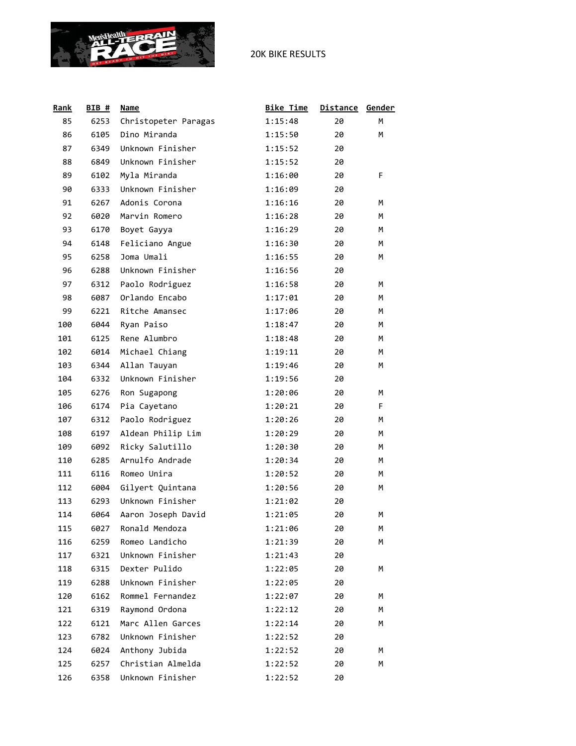

| Rank | BIB# | Name                 | <b>Bike Time</b> | <b>Distance</b> | Gender |
|------|------|----------------------|------------------|-----------------|--------|
| 85   | 6253 | Christopeter Paragas | 1:15:48          | 20              | М      |
| 86   | 6105 | Dino Miranda         | 1:15:50          | 20              | М      |
| 87   | 6349 | Unknown Finisher     | 1:15:52          | 20              |        |
| 88   | 6849 | Unknown Finisher     | 1:15:52          | 20              |        |
| 89   | 6102 | Myla Miranda         | 1:16:00          | 20              | F      |
| 90   | 6333 | Unknown Finisher     | 1:16:09          | 20              |        |
| 91   | 6267 | Adonis Corona        | 1:16:16          | 20              | м      |
| 92   | 6020 | Marvin Romero        | 1:16:28          | 20              | м      |
| 93   | 6170 | Boyet Gayya          | 1:16:29          | 20              | M      |
| 94   | 6148 | Feliciano Angue      | 1:16:30          | 20              | M      |
| 95   | 6258 | Joma Umali           | 1:16:55          | 20              | М      |
| 96   | 6288 | Unknown Finisher     | 1:16:56          | 20              |        |
| 97   | 6312 | Paolo Rodriguez      | 1:16:58          | 20              | м      |
| 98   | 6087 | Orlando Encabo       | 1:17:01          | 20              | M      |
| 99   | 6221 | Ritche Amansec       | 1:17:06          | 20              | М      |
| 100  | 6044 | Ryan Paiso           | 1:18:47          | 20              | M      |
| 101  | 6125 | Rene Alumbro         | 1:18:48          | 20              | M      |
| 102  | 6014 | Michael Chiang       | 1:19:11          | 20              | М      |
| 103  | 6344 | Allan Tauyan         | 1:19:46          | 20              | М      |
| 104  | 6332 | Unknown Finisher     | 1:19:56          | 20              |        |
| 105  | 6276 | Ron Sugapong         | 1:20:06          | 20              | м      |
| 106  | 6174 | Pia Cayetano         | 1:20:21          | 20              | F      |
| 107  | 6312 | Paolo Rodriguez      | 1:20:26          | 20              | М      |
| 108  | 6197 | Aldean Philip Lim    | 1:20:29          | 20              | M      |
| 109  | 6092 | Ricky Salutillo      | 1:20:30          | 20              | М      |
| 110  | 6285 | Arnulfo Andrade      | 1:20:34          | 20              | M      |
| 111  | 6116 | Romeo Unira          | 1:20:52          | 20              | M      |
| 112  | 6004 | Gilyert Quintana     | 1:20:56          | 20              | М      |
| 113  | 6293 | Unknown Finisher     | 1:21:02          | 20              |        |
| 114  | 6064 | Aaron Joseph David   | 1:21:05          | 20              | м      |
| 115  | 6027 | Ronald Mendoza       | 1:21:06          | 20              | М      |
| 116  | 6259 | Romeo Landicho       | 1:21:39          | 20              | M      |
| 117  | 6321 | Unknown Finisher     | 1:21:43          | 20              |        |
| 118  | 6315 | Dexter Pulido        | 1:22:05          | 20              | м      |
| 119  | 6288 | Unknown Finisher     | 1:22:05          | 20              |        |
| 120  | 6162 | Rommel Fernandez     | 1:22:07          | 20              | м      |
| 121  | 6319 | Raymond Ordona       | 1:22:12          | 20              | м      |
| 122  | 6121 | Marc Allen Garces    | 1:22:14          | 20              | м      |
| 123  | 6782 | Unknown Finisher     | 1:22:52          | 20              |        |
| 124  | 6024 | Anthony Jubida       | 1:22:52          | 20              | м      |
| 125  | 6257 | Christian Almelda    | 1:22:52          | 20              | м      |
| 126  | 6358 | Unknown Finisher     | 1:22:52          | 20              |        |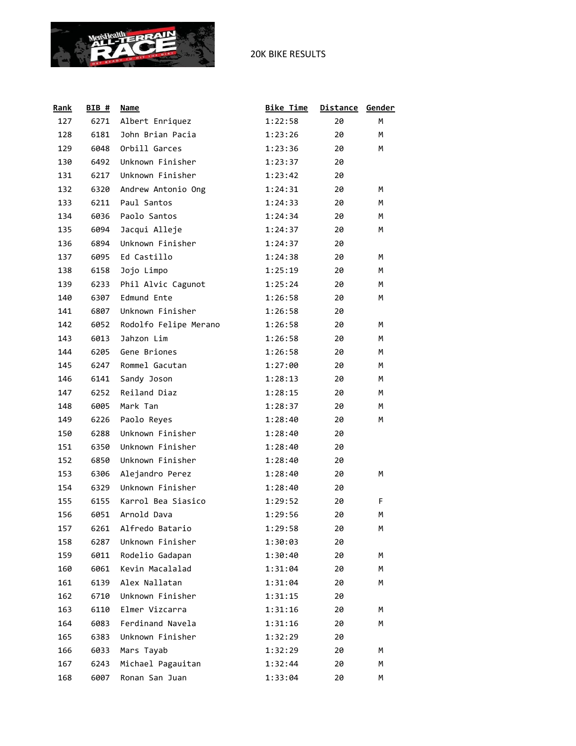

| <b>Rank</b> | <b>BIB #</b> | Name                  | <b>Bike Time</b> | <b>Distance</b> | Gender |
|-------------|--------------|-----------------------|------------------|-----------------|--------|
| 127         | 6271         | Albert Enriquez       | 1:22:58          | 20              | M      |
| 128         | 6181         | John Brian Pacia      | 1:23:26          | 20              | M      |
| 129         | 6048         | Orbill Garces         | 1:23:36          | 20              | М      |
| 130         | 6492         | Unknown Finisher      | 1:23:37          | 20              |        |
| 131         | 6217         | Unknown Finisher      | 1:23:42          | 20              |        |
| 132         | 6320         | Andrew Antonio Ong    | 1:24:31          | 20              | м      |
| 133         | 6211         | Paul Santos           | 1:24:33          | 20              | М      |
| 134         | 6036         | Paolo Santos          | 1:24:34          | 20              | M      |
| 135         | 6094         | Jacqui Alleje         | 1:24:37          | 20              | М      |
| 136         | 6894         | Unknown Finisher      | 1:24:37          | 20              |        |
| 137         | 6095         | Ed Castillo           | 1:24:38          | 20              | М      |
| 138         | 6158         | Jojo Limpo            | 1:25:19          | 20              | М      |
| 139         | 6233         | Phil Alvic Cagunot    | 1:25:24          | 20              | M      |
| 140         | 6307         | Edmund Ente           | 1:26:58          | 20              | М      |
| 141         | 6807         | Unknown Finisher      | 1:26:58          | 20              |        |
| 142         | 6052         | Rodolfo Felipe Merano | 1:26:58          | 20              | М      |
| 143         | 6013         | Jahzon Lim            | 1:26:58          | 20              | М      |
| 144         | 6205         | Gene Briones          | 1:26:58          | 20              | M      |
| 145         | 6247         | Rommel Gacutan        | 1:27:00          | 20              | M      |
| 146         | 6141         | Sandy Joson           | 1:28:13          | 20              | M      |
| 147         | 6252         | Reiland Diaz          | 1:28:15          | 20              | M      |
| 148         | 6005         | Mark Tan              | 1:28:37          | 20              | M      |
| 149         | 6226         | Paolo Reyes           | 1:28:40          | 20              | М      |
| 150         | 6288         | Unknown Finisher      | 1:28:40          | 20              |        |
| 151         | 6350         | Unknown Finisher      | 1:28:40          | 20              |        |
| 152         | 6850         | Unknown Finisher      | 1:28:40          | 20              |        |
| 153         | 6306         | Alejandro Perez       | 1:28:40          | 20              | м      |
| 154         | 6329         | Unknown Finisher      | 1:28:40          | 20              |        |
| 155         | 6155         | Karrol Bea Siasico    | 1:29:52          | 20              | F.     |
| 156         | 6051         | Arnold Dava           | 1:29:56          | 20              | M      |
| 157         | 6261         | Alfredo Batario       | 1:29:58          | 20              | М      |
| 158         | 6287         | Unknown Finisher      | 1:30:03          | 20              |        |
| 159         | 6011         | Rodelio Gadapan       | 1:30:40          | 20              | м      |
| 160         | 6061         | Kevin Macalalad       | 1:31:04          | 20              | M      |
| 161         | 6139         | Alex Nallatan         | 1:31:04          | 20              | м      |
| 162         | 6710         | Unknown Finisher      | 1:31:15          | 20              |        |
| 163         | 6110         | Elmer Vizcarra        | 1:31:16          | 20              | м      |
| 164         | 6083         | Ferdinand Navela      | 1:31:16          | 20              | M      |
| 165         | 6383         | Unknown Finisher      | 1:32:29          | 20              |        |
| 166         | 6033         | Mars Tayab            | 1:32:29          | 20              | м      |
| 167         | 6243         | Michael Pagauitan     | 1:32:44          | 20              | М      |
| 168         | 6007         | Ronan San Juan        | 1:33:04          | 20              | М      |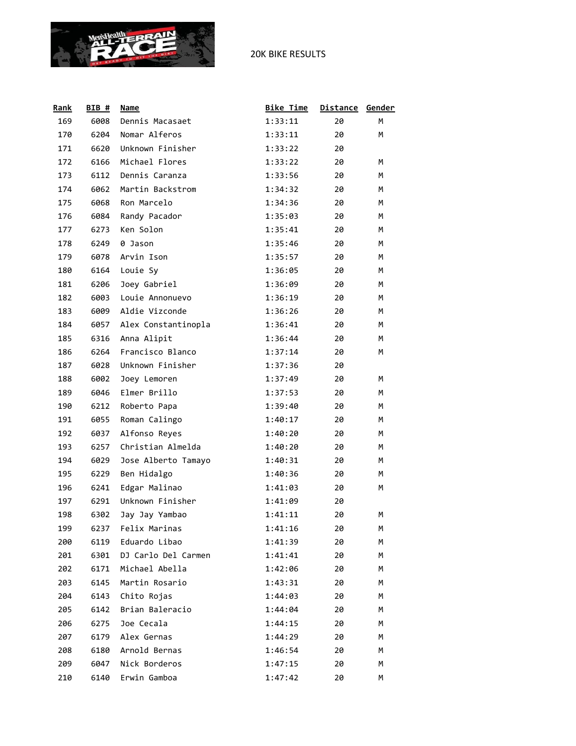

| Rank | $BIB$ # | Name                | <b>Bike Time</b> | <b>Distance</b> | Gender |
|------|---------|---------------------|------------------|-----------------|--------|
| 169  | 6008    | Dennis Macasaet     | 1:33:11          | 20              | M      |
| 170  | 6204    | Nomar Alferos       | 1:33:11          | 20              | М      |
| 171  | 6620    | Unknown Finisher    | 1:33:22          | 20              |        |
| 172  | 6166    | Michael Flores      | 1:33:22          | 20              | М      |
| 173  | 6112    | Dennis Caranza      | 1:33:56          | 20              | м      |
| 174  | 6062    | Martin Backstrom    | 1:34:32          | 20              | М      |
| 175  | 6068    | Ron Marcelo         | 1:34:36          | 20              | М      |
| 176  | 6084    | Randy Pacador       | 1:35:03          | 20              | M      |
| 177  | 6273    | Ken Solon           | 1:35:41          | 20              | М      |
| 178  | 6249    | 0 Jason             | 1:35:46          | 20              | м      |
| 179  | 6078    | Arvin Ison          | 1:35:57          | 20              | М      |
| 180  | 6164    | Louie Sy            | 1:36:05          | 20              | М      |
| 181  | 6206    | Joey Gabriel        | 1:36:09          | 20              | M      |
| 182  | 6003    | Louie Annonuevo     | 1:36:19          | 20              | М      |
| 183  | 6009    | Aldie Vizconde      | 1:36:26          | 20              | м      |
| 184  | 6057    | Alex Constantinopla | 1:36:41          | 20              | М      |
| 185  | 6316    | Anna Alipit         | 1:36:44          | 20              | М      |
| 186  | 6264    | Francisco Blanco    | 1:37:14          | 20              | M      |
| 187  | 6028    | Unknown Finisher    | 1:37:36          | 20              |        |
| 188  | 6002    | Joey Lemoren        | 1:37:49          | 20              | м      |
| 189  | 6046    | Elmer Brillo        | 1:37:53          | 20              | М      |
| 190  | 6212    | Roberto Papa        | 1:39:40          | 20              | М      |
| 191  | 6055    | Roman Calingo       | 1:40:17          | 20              | М      |
| 192  | 6037    | Alfonso Reyes       | 1:40:20          | 20              | M      |
| 193  | 6257    | Christian Almelda   | 1:40:20          | 20              | М      |
| 194  | 6029    | Jose Alberto Tamayo | 1:40:31          | 20              | М      |
| 195  | 6229    | Ben Hidalgo         | 1:40:36          | 20              | М      |
| 196  | 6241    | Edgar Malinao       | 1:41:03          | 20              | м      |
| 197  | 6291    | Unknown Finisher    | 1:41:09          | 20              |        |
| 198  | 6302    | Jay Jay Yambao      | 1:41:11          | 20              | м      |
| 199  | 6237    | Felix Marinas       | 1:41:16          | 20              | м      |
| 200  | 6119    | Eduardo Libao       | 1:41:39          | 20              | М      |
| 201  | 6301    | DJ Carlo Del Carmen | 1:41:41          | 20              | м      |
| 202  | 6171    | Michael Abella      | 1:42:06          | 20              | M      |
| 203  | 6145    | Martin Rosario      | 1:43:31          | 20              | м      |
| 204  | 6143    | Chito Rojas         | 1:44:03          | 20              | м      |
| 205  | 6142    | Brian Baleracio     | 1:44:04          | 20              | М      |
| 206  | 6275    | Joe Cecala          | 1:44:15          | 20              | м      |
| 207  | 6179    | Alex Gernas         | 1:44:29          | 20              | м      |
| 208  | 6180    | Arnold Bernas       | 1:46:54          | 20              | м      |
| 209  | 6047    | Nick Borderos       | 1:47:15          | 20              | М      |
| 210  | 6140    | Erwin Gamboa        | 1:47:42          | 20              | М      |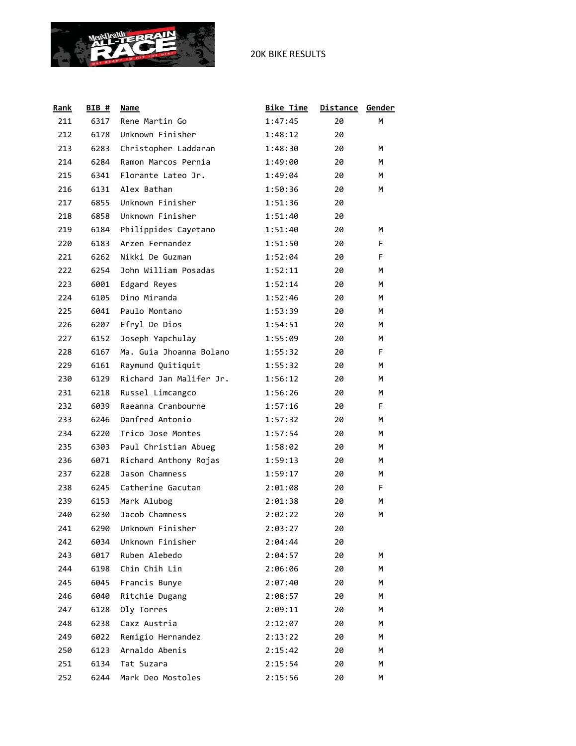

| <b>Rank</b> | <b>BIB #</b> | Name                    | <b>Bike Time</b> | <b>Distance</b> | Gender |
|-------------|--------------|-------------------------|------------------|-----------------|--------|
| 211         | 6317         | Rene Martin Go          | 1:47:45          | 20              | м      |
| 212         | 6178         | Unknown Finisher        | 1:48:12          | 20              |        |
| 213         | 6283         | Christopher Laddaran    | 1:48:30          | 20              | м      |
| 214         | 6284         | Ramon Marcos Pernia     | 1:49:00          | 20              | М      |
| 215         | 6341         | Florante Lateo Jr.      | 1:49:04          | 20              | М      |
| 216         | 6131         | Alex Bathan             | 1:50:36          | 20              | M      |
| 217         | 6855         | Unknown Finisher        | 1:51:36          | 20              |        |
| 218         | 6858         | Unknown Finisher        | 1:51:40          | 20              |        |
| 219         | 6184         | Philippides Cayetano    | 1:51:40          | 20              | м      |
| 220         | 6183         | Arzen Fernandez         | 1:51:50          | 20              | F      |
| 221         | 6262         | Nikki De Guzman         | 1:52:04          | 20              | F.     |
| 222         | 6254         | John William Posadas    | 1:52:11          | 20              | М      |
| 223         | 6001         | Edgard Reyes            | 1:52:14          | 20              | М      |
| 224         | 6105         | Dino Miranda            | 1:52:46          | 20              | М      |
| 225         | 6041         | Paulo Montano           | 1:53:39          | 20              | М      |
| 226         | 6207         | Efryl De Dios           | 1:54:51          | 20              | М      |
| 227         | 6152         | Joseph Yapchulay        | 1:55:09          | 20              | М      |
| 228         | 6167         | Ma. Guia Jhoanna Bolano | 1:55:32          | 20              | F.     |
| 229         | 6161         | Raymund Quitiquit       | 1:55:32          | 20              | М      |
| 230         | 6129         | Richard Jan Malifer Jr. | 1:56:12          | 20              | М      |
| 231         | 6218         | Russel Limcangco        | 1:56:26          | 20              | М      |
| 232         | 6039         | Raeanna Cranbourne      | 1:57:16          | 20              | F      |
| 233         | 6246         | Danfred Antonio         | 1:57:32          | 20              | M      |
| 234         | 6220         | Trico Jose Montes       | 1:57:54          | 20              | М      |
| 235         | 6303         | Paul Christian Abueg    | 1:58:02          | 20              | М      |
| 236         | 6071         | Richard Anthony Rojas   | 1:59:13          | 20              | М      |
| 237         | 6228         | Jason Chamness          | 1:59:17          | 20              | М      |
| 238         | 6245         | Catherine Gacutan       | 2:01:08          | 20              | F.     |
| 239         | 6153         | Mark Alubog             | 2:01:38          | 20              | М      |
| 240         | 6230         | Jacob Chamness          | 2:02:22          | 20              | M      |
| 241         | 6290         | Unknown Finisher        | 2:03:27          | 20              |        |
| 242         | 6034         | Unknown Finisher        | 2:04:44          | 20              |        |
| 243         | 6017         | Ruben Alebedo           | 2:04:57          | 20              | м      |
| 244         | 6198         | Chin Chih Lin           | 2:06:06          | 20              | м      |
| 245         | 6045         | Francis Bunye           | 2:07:40          | 20              | м      |
| 246         | 6040         | Ritchie Dugang          | 2:08:57          | 20              | M      |
| 247         | 6128         | Oly Torres              | 2:09:11          | 20              | м      |
| 248         | 6238         | Caxz Austria            | 2:12:07          | 20              | м      |
| 249         | 6022         | Remigio Hernandez       | 2:13:22          | 20              | м      |
| 250         | 6123         | Arnaldo Abenis          | 2:15:42          | 20              | м      |
| 251         | 6134         | Tat Suzara              | 2:15:54          | 20              | М      |
| 252         | 6244         | Mark Deo Mostoles       | 2:15:56          | 20              | М      |